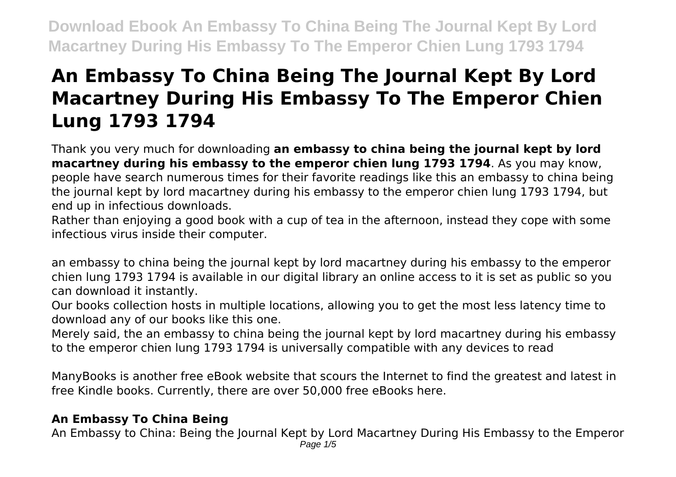# **An Embassy To China Being The Journal Kept By Lord Macartney During His Embassy To The Emperor Chien Lung 1793 1794**

Thank you very much for downloading **an embassy to china being the journal kept by lord macartney during his embassy to the emperor chien lung 1793 1794**. As you may know, people have search numerous times for their favorite readings like this an embassy to china being the journal kept by lord macartney during his embassy to the emperor chien lung 1793 1794, but end up in infectious downloads.

Rather than enjoying a good book with a cup of tea in the afternoon, instead they cope with some infectious virus inside their computer.

an embassy to china being the journal kept by lord macartney during his embassy to the emperor chien lung 1793 1794 is available in our digital library an online access to it is set as public so you can download it instantly.

Our books collection hosts in multiple locations, allowing you to get the most less latency time to download any of our books like this one.

Merely said, the an embassy to china being the journal kept by lord macartney during his embassy to the emperor chien lung 1793 1794 is universally compatible with any devices to read

ManyBooks is another free eBook website that scours the Internet to find the greatest and latest in free Kindle books. Currently, there are over 50,000 free eBooks here.

# **An Embassy To China Being**

An Embassy to China: Being the Journal Kept by Lord Macartney During His Embassy to the Emperor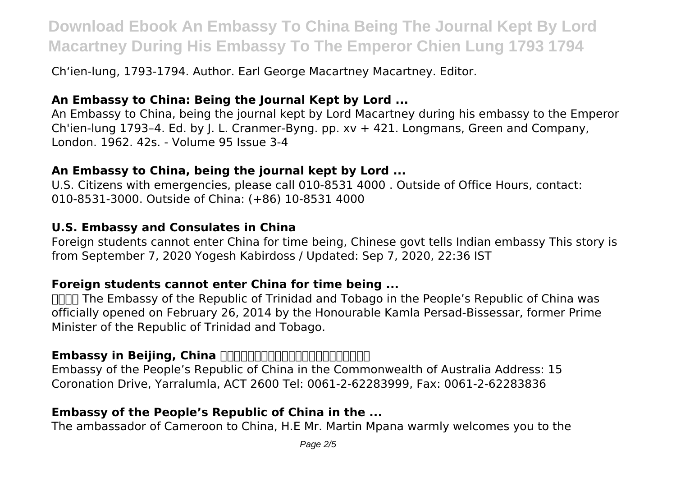Chʻien-lung, 1793-1794. Author. Earl George Macartney Macartney. Editor.

### **An Embassy to China: Being the Journal Kept by Lord ...**

An Embassy to China, being the journal kept by Lord Macartney during his embassy to the Emperor Ch'ien-lung 1793–4. Ed. by J. L. Cranmer-Byng. pp. xv + 421. Longmans, Green and Company, London. 1962. 42s. - Volume 95 Issue 3-4

#### **An Embassy to China, being the journal kept by Lord ...**

U.S. Citizens with emergencies, please call 010-8531 4000 . Outside of Office Hours, contact: 010-8531-3000. Outside of China: (+86) 10-8531 4000

#### **U.S. Embassy and Consulates in China**

Foreign students cannot enter China for time being, Chinese govt tells Indian embassy This story is from September 7, 2020 Yogesh Kabirdoss / Updated: Sep 7, 2020, 22:36 IST

#### **Foreign students cannot enter China for time being ...**

**NHHT The Embassy of the Republic of Trinidad and Tobago in the People's Republic of China was** officially opened on February 26, 2014 by the Honourable Kamla Persad-Bissessar, former Prime Minister of the Republic of Trinidad and Tobago.

### **Embassy in Beijing, China HARDHANDANDANDANG ASSESSMENT**

Embassy of the People's Republic of China in the Commonwealth of Australia Address: 15 Coronation Drive, Yarralumla, ACT 2600 Tel: 0061-2-62283999, Fax: 0061-2-62283836

#### **Embassy of the People's Republic of China in the ...**

The ambassador of Cameroon to China, H.E Mr. Martin Mpana warmly welcomes you to the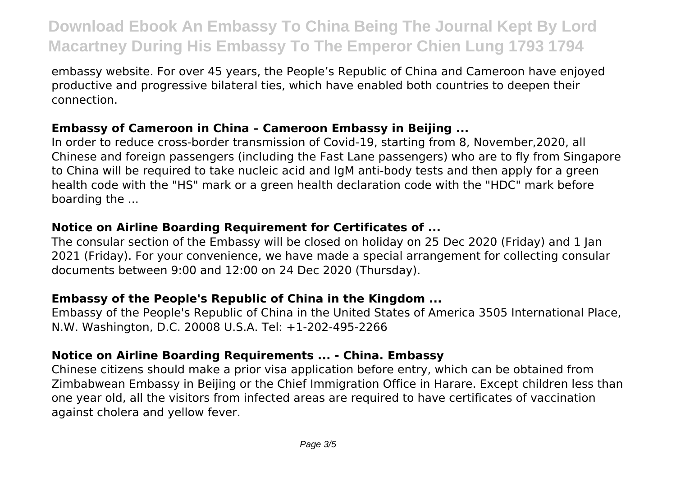embassy website. For over 45 years, the People's Republic of China and Cameroon have enjoyed productive and progressive bilateral ties, which have enabled both countries to deepen their connection.

#### **Embassy of Cameroon in China – Cameroon Embassy in Beijing ...**

In order to reduce cross-border transmission of Covid-19, starting from 8, November,2020, all Chinese and foreign passengers (including the Fast Lane passengers) who are to fly from Singapore to China will be required to take nucleic acid and IgM anti-body tests and then apply for a green health code with the "HS" mark or a green health declaration code with the "HDC" mark before boarding the ...

# **Notice on Airline Boarding Requirement for Certificates of ...**

The consular section of the Embassy will be closed on holiday on 25 Dec 2020 (Friday) and 1 Jan 2021 (Friday). For your convenience, we have made a special arrangement for collecting consular documents between 9:00 and 12:00 on 24 Dec 2020 (Thursday).

## **Embassy of the People's Republic of China in the Kingdom ...**

Embassy of the People's Republic of China in the United States of America 3505 International Place, N.W. Washington, D.C. 20008 U.S.A. Tel: +1-202-495-2266

## **Notice on Airline Boarding Requirements ... - China. Embassy**

Chinese citizens should make a prior visa application before entry, which can be obtained from Zimbabwean Embassy in Beijing or the Chief Immigration Office in Harare. Except children less than one year old, all the visitors from infected areas are required to have certificates of vaccination against cholera and yellow fever.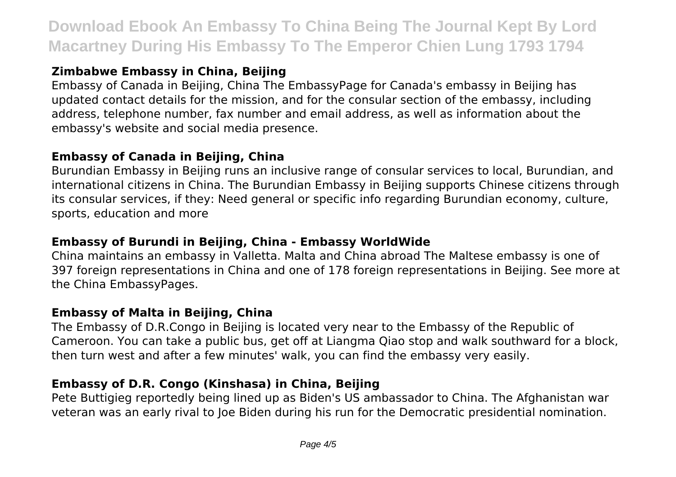# **Zimbabwe Embassy in China, Beijing**

Embassy of Canada in Beijing, China The EmbassyPage for Canada's embassy in Beijing has updated contact details for the mission, and for the consular section of the embassy, including address, telephone number, fax number and email address, as well as information about the embassy's website and social media presence.

### **Embassy of Canada in Beijing, China**

Burundian Embassy in Beijing runs an inclusive range of consular services to local, Burundian, and international citizens in China. The Burundian Embassy in Beijing supports Chinese citizens through its consular services, if they: Need general or specific info regarding Burundian economy, culture, sports, education and more

# **Embassy of Burundi in Beijing, China - Embassy WorldWide**

China maintains an embassy in Valletta. Malta and China abroad The Maltese embassy is one of 397 foreign representations in China and one of 178 foreign representations in Beijing. See more at the China EmbassyPages.

## **Embassy of Malta in Beijing, China**

The Embassy of D.R.Congo in Beijing is located very near to the Embassy of the Republic of Cameroon. You can take a public bus, get off at Liangma Qiao stop and walk southward for a block, then turn west and after a few minutes' walk, you can find the embassy very easily.

# **Embassy of D.R. Congo (Kinshasa) in China, Beijing**

Pete Buttigieg reportedly being lined up as Biden's US ambassador to China. The Afghanistan war veteran was an early rival to Joe Biden during his run for the Democratic presidential nomination.